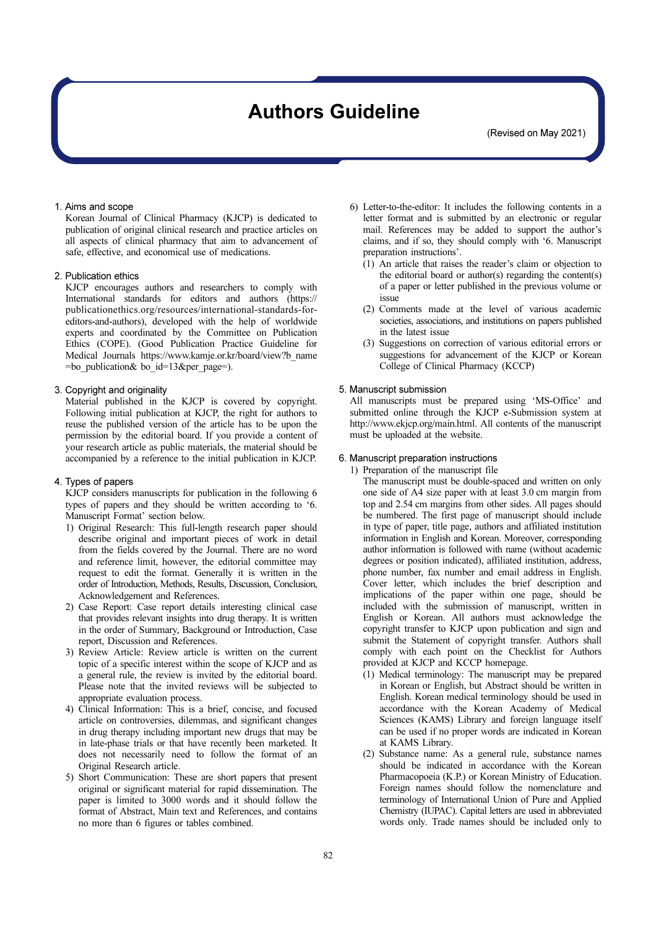# Authors Guideline

(Revised on May 2021)

# 1. Aims and scope

Korean Journal of Clinical Pharmacy (KJCP) is dedicated to publication of original clinical research and practice articles on all aspects of clinical pharmacy that aim to advancement of safe, effective, and economical use of medications.

# 2. Publication ethics

KJCP encourages authors and researchers to comply with International standards for editors and authors (https:// publicationethics.org/resources/international-standards-foreditors-and-authors), developed with the help of worldwide experts and coordinated by the Committee on Publication Ethics (COPE). (Good Publication Practice Guideline for Medical Journals https://www.kamje.or.kr/board/view?b\_name =bo\_publication& bo\_id=13&per\_page=).

# 3. Copyright and originality

Material published in the KJCP is covered by copyright. Following initial publication at KJCP, the right for authors to reuse the published version of the article has to be upon the permission by the editorial board. If you provide a content of your research article as public materials, the material should be accompanied by a reference to the initial publication in KJCP.

# 4. Types of papers

KJCP considers manuscripts for publication in the following 6 types of papers and they should be written according to '6. Manuscript Format' section below.

- 1) Original Research: This full-length research paper should describe original and important pieces of work in detail from the fields covered by the Journal. There are no word and reference limit, however, the editorial committee may request to edit the format. Generally it is written in the order of Introduction, Methods, Results, Discussion, Conclusion, Acknowledgement and References.
- 2) Case Report: Case report details interesting clinical case that provides relevant insights into drug therapy. It is written in the order of Summary, Background or Introduction, Case report, Discussion and References.
- 3) Review Article: Review article is written on the current topic of a specific interest within the scope of KJCP and as a general rule, the review is invited by the editorial board. Please note that the invited reviews will be subjected to appropriate evaluation process.
- 4) Clinical Information: This is a brief, concise, and focused article on controversies, dilemmas, and significant changes in drug therapy including important new drugs that may be in late-phase trials or that have recently been marketed. It does not necessarily need to follow the format of an Original Research article.
- 5) Short Communication: These are short papers that present original or significant material for rapid dissemination. The paper is limited to 3000 words and it should follow the format of Abstract, Main text and References, and contains no more than 6 figures or tables combined.
- 6) Letter-to-the-editor: It includes the following contents in a letter format and is submitted by an electronic or regular mail. References may be added to support the author's claims, and if so, they should comply with '6. Manuscript preparation instructions'.
	- (1) An article that raises the reader's claim or objection to the editorial board or author(s) regarding the content(s) of a paper or letter published in the previous volume or issue
	- (2) Comments made at the level of various academic societies, associations, and institutions on papers published in the latest issue
	- (3) Suggestions on correction of various editorial errors or suggestions for advancement of the KJCP or Korean College of Clinical Pharmacy (KCCP)

## 5. Manuscript submission

All manuscripts must be prepared using 'MS-Office' and submitted online through the KJCP e-Submission system at http://www.ekjcp.org/main.html. All contents of the manuscript must be uploaded at the website.

# 6. Manuscript preparation instructions

1) Preparation of the manuscript file

The manuscript must be double-spaced and written on only one side of  $A<sup>4</sup>$  size paper with at least 3.0 cm margin from top and 2.54 cm margins from other sides. All pages should be numbered. The first page of manuscript should include in type of paper, title page, authors and affiliated institution information in English and Korean. Moreover, corresponding author information is followed with name (without academic degrees or position indicated), affiliated institution, address, phone number, fax number and email address in English. Cover letter, which includes the brief description and implications of the paper within one page, should be included with the submission of manuscript, written in English or Korean. All authors must acknowledge the copyright transfer to KJCP upon publication and sign and submit the Statement of copyright transfer. Authors shall comply with each point on the Checklist for Authors provided at KJCP and KCCP homepage.

- (1) Medical terminology: The manuscript may be prepared in Korean or English, but Abstract should be written in English. Korean medical terminology should be used in accordance with the Korean Academy of Medical Sciences (KAMS) Library and foreign language itself can be used if no proper words are indicated in Korean at KAMS Library.
- (2) Substance name: As a general rule, substance names should be indicated in accordance with the Korean Pharmacopoeia (K.P.) or Korean Ministry of Education. Foreign names should follow the nomenclature and terminology of International Union of Pure and Applied Chemistry (IUPAC). Capital letters are used in abbreviated words only. Trade names should be included only to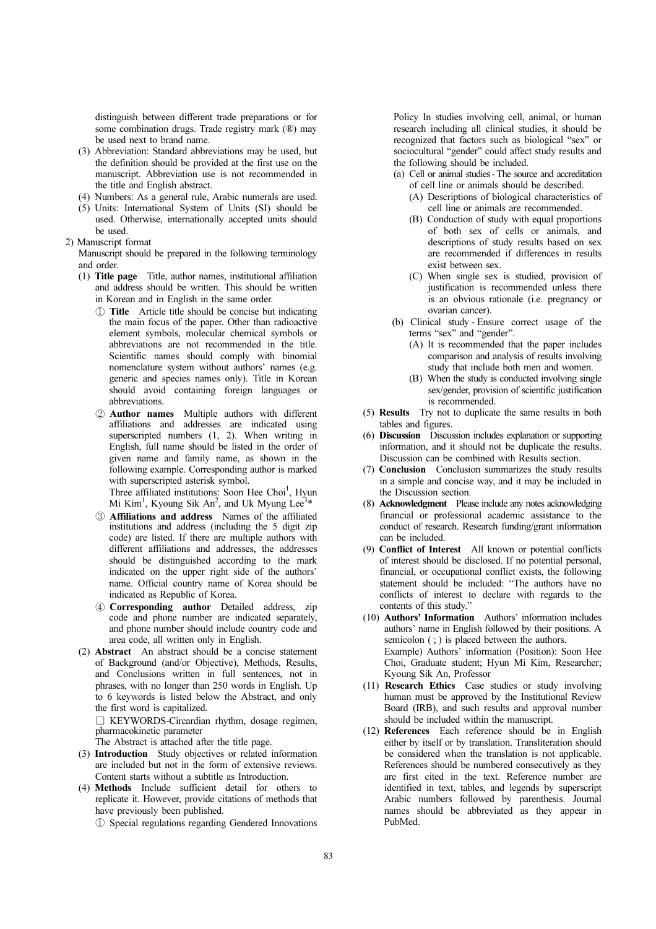distinguish between different trade preparations or for some combination drugs. Trade registry mark (®) may be used next to brand name.

- (3) Abbreviation: Standard abbreviations may be used, but the definition should be provided at the first use on the manuscript. Abbreviation use is not recommended in the title and English abstract.
- (4) Numbers: As a general rule, Arabic numerals are used.
- (5) Units: International System of Units (SI) should be used. Otherwise, internationally accepted units should be used.
- 2) Manuscript format

Manuscript should be prepared in the following terminology and order.

- (1) Title page Title, author names, institutional affiliation and address should be written. This should be written in Korean and in English in the same order.
	- ① Title Article title should be concise but indicating the main focus of the paper. Other than radioactive element symbols, molecular chemical symbols or abbreviations are not recommended in the title. Scientific names should comply with binomial nomenclature system without authors' names (e.g. generic and species names only). Title in Korean should avoid containing foreign languages or abbreviations.
	- ② Author names Multiple authors with different affiliations and addresses are indicated using superscripted numbers  $(1, 2)$ . When writing in English, full name should be listed in the order of given name and family name, as shown in the following example. Corresponding author is marked with superscripted asterisk symbol.

Three affiliated institutions: Soon Hee Choi<sup>1</sup>, Hyun Mi Kim<sup>1</sup>, Kyoung Sik An<sup>2</sup>, and Uk Myung Lee<sup>3\*</sup>

- ③ Affiliations and address Names of the affiliated institutions and address (including the 5 digit zip code) are listed. If there are multiple authors with different affiliations and addresses, the addresses should be distinguished according to the mark indicated on the upper right side of the authors' name. Official country name of Korea should be indicated as Republic of Korea.
- ④ Corresponding author Detailed address, zip code and phone number are indicated separately, and phone number should include country code and area code, all written only in English.
- (2) Abstract An abstract should be a concise statement of Background (and/or Objective), Methods, Results, and Conclusions written in full sentences, not in phrases, with no longer than 250 words in English. Up to 6 keywords is listed below the Abstract, and only the first word is capitalized.

□ KEYWORDS-Circardian rhythm, dosage regimen, pharmacokinetic parameter

The Abstract is attached after the title page.

- (3) Introduction Study objectives or related information are included but not in the form of extensive reviews. Content starts without a subtitle as Introduction.
- (4) Methods Include sufficient detail for others to replicate it. However, provide citations of methods that have previously been published.

① Special regulations regarding Gendered Innovations

Policy In studies involving cell, animal, or human research including all clinical studies, it should be recognized that factors such as biological "sex" or sociocultural "gender" could affect study results and the following should be included.

- (a) Cell or animal studies The source and accreditation of cell line or animals should be described.
	- (A) Descriptions of biological characteristics of cell line or animals are recommended.
	- (B) Conduction of study with equal proportions of both sex of cells or animals, and descriptions of study results based on sex are recommended if differences in results exist between sex.
	- (C) When single sex is studied, provision of justification is recommended unless there is an obvious rationale (i.e. pregnancy or ovarian cancer).
- (b) Clinical study Ensure correct usage of the terms "sex" and "gender".
	- (A) It is recommended that the paper includes comparison and analysis of results involving study that include both men and women.
	- (B) When the study is conducted involving single sex/gender, provision of scientific justification is recommended.
- (5) Results Try not to duplicate the same results in both tables and figures.
- (6) Discussion Discussion includes explanation or supporting information, and it should not be duplicate the results. Discussion can be combined with Results section.
- (7) Conclusion Conclusion summarizes the study results in a simple and concise way, and it may be included in the Discussion section.
- (8) Acknowledgment Please include any notes acknowledging financial or professional academic assistance to the conduct of research. Research funding/grant information can be included.
- (9) Conflict of Interest All known or potential conflicts of interest should be disclosed. If no potential personal, financial, or occupational conflict exists, the following statement should be included: "The authors have no conflicts of interest to declare with regards to the contents of this study."
- (10) Authors' Information Authors' information includes authors' name in English followed by their positions. A semicolon (; ) is placed between the authors. Example) Authors' information (Position): Soon Hee Choi, Graduate student; Hyun Mi Kim, Researcher; Kyoung Sik An, Professor
- (11) Research Ethics Case studies or study involving human must be approved by the Institutional Review Board (IRB), and such results and approval number should be included within the manuscript.
- (12) References Each reference should be in English either by itself or by translation. Transliteration should be considered when the translation is not applicable. References should be numbered consecutively as they are first cited in the text. Reference number are identified in text, tables, and legends by superscript Arabic numbers followed by parenthesis. Journal names should be abbreviated as they appear in PubMed.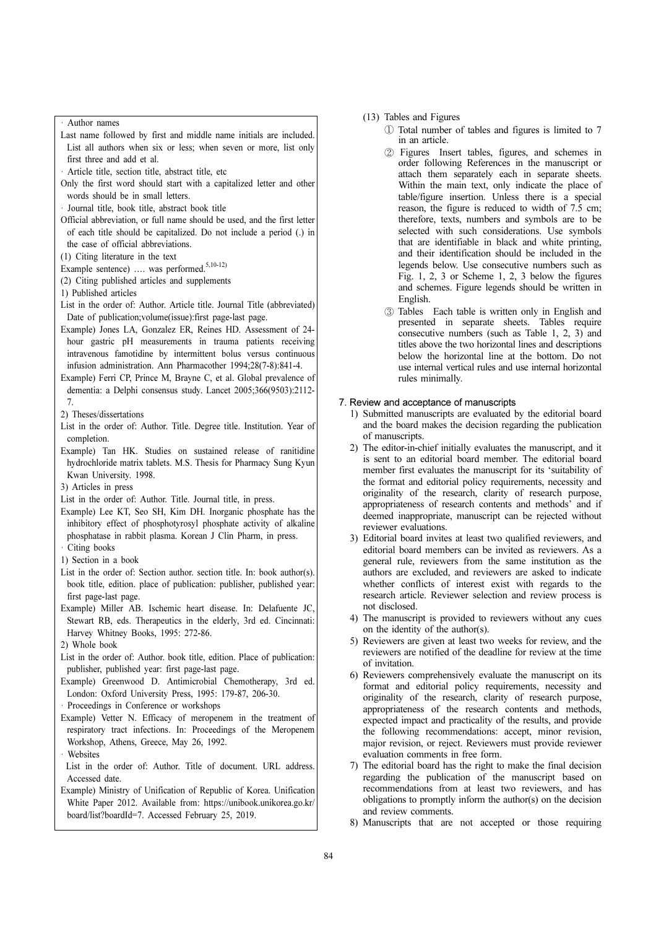Author names

- Last name followed by first and middle name initials are included. List all authors when six or less; when seven or more, list only first three and add et al.
- Article title, section title, abstract title, etc
- <sup>7</sup> Truck the, section the, abstract the, etc<br>
Only the first word should start with a capitalized letter and other words should be in small letters.
- Journal title, book title, abstract book title
- Official abbreviation, or full name should be used, and the first letter of each title should be capitalized. Do not include a period (.) in the case of official abbreviations.
- (1) Citing literature in the text
- Example sentence) .... was performed.<sup>5,10-12)</sup>
- (2) Citing published articles and supplements
- 1) Published articles
- List in the order of: Author. Article title. Journal Title (abbreviated) Date of publication;volume(issue):first page-last page.
- Example) Jones LA, Gonzalez ER, Reines HD. Assessment of 24 hour gastric pH measurements in trauma patients receiving intravenous famotidine by intermittent bolus versus continuous infusion administration. Ann Pharmacother 1994;28(7-8):841-4.
- Example) Ferri CP, Prince M, Brayne C, et al. Global prevalence of dementia: a Delphi consensus study. Lancet 2005;366(9503):2112- 7.
- 2) Theses/dissertations
- List in the order of: Author. Title. Degree title. Institution. Year of completion.
- Example) Tan HK. Studies on sustained release of ranitidine hydrochloride matrix tablets. M.S. Thesis for Pharmacy Sung Kyun Kwan University. 1998.
- 3) Articles in press
- List in the order of: Author. Title. Journal title, in press.
- Example) Lee KT, Seo SH, Kim DH. Inorganic phosphate has the inhibitory effect of phosphotyrosyl phosphate activity of alkaline phosphatase in rabbit plasma. Korean J Clin Pharm, in press. Citing books
- 1) Section in a book
- List in the order of: Section author. section title. In: book author(s). book title, edition. place of publication: publisher, published year: first page-last page.
- Example) Miller AB. Ischemic heart disease. In: Delafuente JC, Stewart RB, eds. Therapeutics in the elderly, 3rd ed. Cincinnati: Harvey Whitney Books, 1995: 272-86.
- 2) Whole book
- List in the order of: Author. book title, edition. Place of publication: publisher, published year: first page-last page.
- Example) Greenwood D. Antimicrobial Chemotherapy, 3rd ed. ·London: Oxford University Press, 1995: 179-87, 206-30.
- Proceedings in Conference or workshops
- Example) Vetter N. Efficacy of meropenem in the treatment of respiratory tract infections. In: Proceedings of the Meropenem Workshop, Athens, Greece, May 26, 1992.
- Websites
- List in the order of: Author. Title of document. URL address. Accessed date.
- Example) Ministry of Unification of Republic of Korea. Unification White Paper 2012. Available from: https://unibook.unikorea.go.kr/ board/list?boardId=7. Accessed February 25, 2019.
- (13) Tables and Figures
	- ① Total number of tables and figures is limited to 7 in an article.
	- ② Figures Insert tables, figures, and schemes in order following References in the manuscript or attach them separately each in separate sheets. Within the main text, only indicate the place of table/figure insertion. Unless there is a special reason, the figure is reduced to width of 7.5 cm; therefore, texts, numbers and symbols are to be selected with such considerations. Use symbols that are identifiable in black and white printing, and their identification should be included in the legends below. Use consecutive numbers such as Fig. 1, 2, 3 or Scheme 1, 2, 3 below the figures and schemes. Figure legends should be written in English.
	- ③ Tables Each table is written only in English and presented in separate sheets. Tables require consecutive numbers (such as Table 1, 2, 3) and titles above the two horizontal lines and descriptions below the horizontal line at the bottom. Do not use internal vertical rules and use internal horizontal rules minimally.

#### 7. Review and acceptance of manuscripts

- 1) Submitted manuscripts are evaluated by the editorial board and the board makes the decision regarding the publication of manuscripts.
- 2) The editor-in-chief initially evaluates the manuscript, and it is sent to an editorial board member. The editorial board member first evaluates the manuscript for its 'suitability of the format and editorial policy requirements, necessity and originality of the research, clarity of research purpose, appropriateness of research contents and methods' and if deemed inappropriate, manuscript can be rejected without reviewer evaluations.
- 3) Editorial board invites at least two qualified reviewers, and editorial board members can be invited as reviewers. As a general rule, reviewers from the same institution as the authors are excluded, and reviewers are asked to indicate whether conflicts of interest exist with regards to the research article. Reviewer selection and review process is not disclosed.
- 4) The manuscript is provided to reviewers without any cues on the identity of the author(s).
- 5) Reviewers are given at least two weeks for review, and the reviewers are notified of the deadline for review at the time of invitation.
- 6) Reviewers comprehensively evaluate the manuscript on its format and editorial policy requirements, necessity and originality of the research, clarity of research purpose, appropriateness of the research contents and methods, expected impact and practicality of the results, and provide the following recommendations: accept, minor revision, major revision, or reject. Reviewers must provide reviewer evaluation comments in free form.
- 7) The editorial board has the right to make the final decision regarding the publication of the manuscript based on recommendations from at least two reviewers, and has obligations to promptly inform the author(s) on the decision and review comments.
- 8) Manuscripts that are not accepted or those requiring